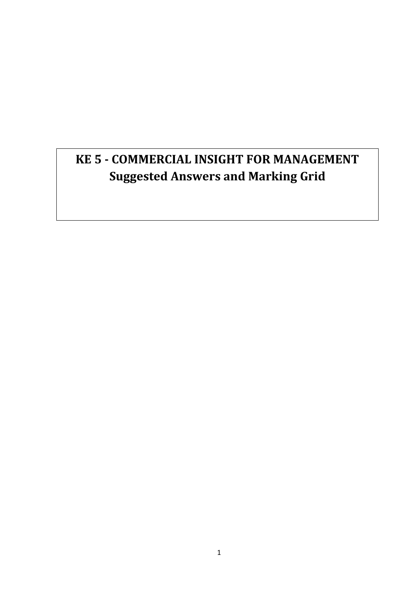# **KE 5 - COMMERCIAL INSIGHT FOR MANAGEMENT Suggested Answers and Marking Grid**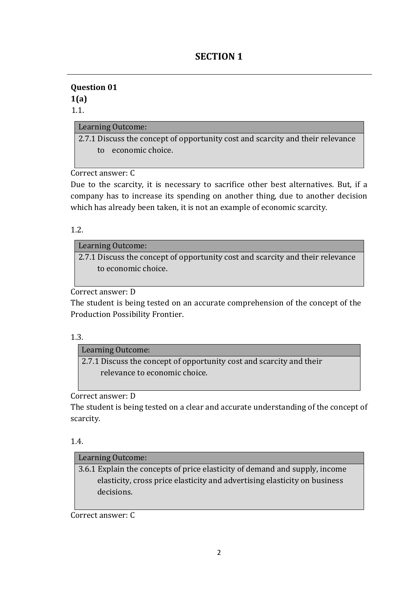## **SECTION 1**

## **Question 01 1(a)**

## 1.1.

## Learning Outcome:

2.7.1 Discuss the concept of opportunity cost and scarcity and their relevance to economic choice.

Correct answer: C

Due to the scarcity, it is necessary to sacrifice other best alternatives. But, if a company has to increase its spending on another thing, due to another decision which has already been taken, it is not an example of economic scarcity.

1.2.

## Learning Outcome:

2.7.1 Discuss the concept of opportunity cost and scarcity and their relevance to economic choice.

Correct answer: D

The student is being tested on an accurate comprehension of the concept of the Production Possibility Frontier.

## 1.3.

## Learning Outcome:

2.7.1 Discuss the concept of opportunity cost and scarcity and their relevance to economic choice.

Correct answer: D

The student is being tested on a clear and accurate understanding of the concept of scarcity.

## 1.4.

## Learning Outcome:

3.6.1 Explain the concepts of price elasticity of demand and supply, income elasticity, cross price elasticity and advertising elasticity on business decisions.

Correct answer: C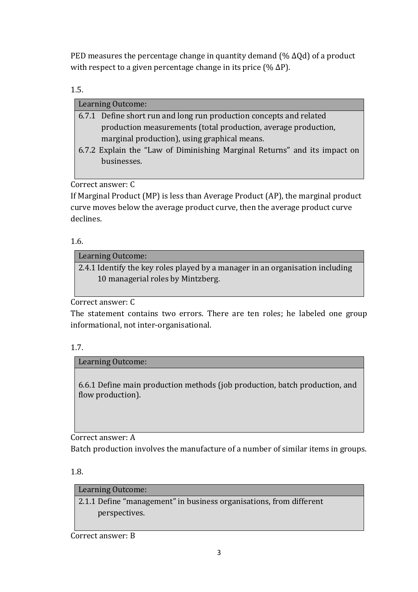PED measures the percentage change in quantity demand ( $%$  ΔQd) of a product with respect to a given percentage change in its price (%  $\Delta P$ ).

1.5.

| Learning Outcome:                                                         |
|---------------------------------------------------------------------------|
| 6.7.1 Define short run and long run production concepts and related       |
| production measurements (total production, average production,            |
| marginal production), using graphical means.                              |
| 6.7.2 Explain the "Law of Diminishing Marginal Returns" and its impact on |
| businesses.                                                               |
|                                                                           |

Correct answer: C

If Marginal Product (MP) is less than Average Product (AP), the marginal product curve moves below the average product curve, then the average product curve declines.

1.6.

Learning Outcome:

2.4.1 Identify the key roles played by a manager in an organisation including 10 managerial roles by Mintzberg.

Correct answer: C

The statement contains two errors. There are ten roles; he labeled one group informational, not inter-organisational.

1.7.

Learning Outcome:

6.6.1 Define main production methods (job production, batch production, and flow production).

Correct answer: A

Batch production involves the manufacture of a number of similar items in groups.

1.8.

Learning Outcome:

2.1.1 Define "management" in business organisations, from different perspectives.

Correct answer: B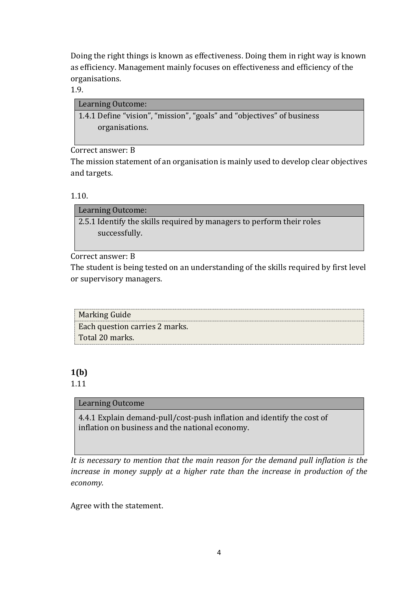Doing the right things is known as effectiveness. Doing them in right way is known as efficiency. Management mainly focuses on effectiveness and efficiency of the organisations*.*

1.9.

| Learning Outcome:                                                      |  |
|------------------------------------------------------------------------|--|
| 1.4.1 Define "vision", "mission", "goals" and "objectives" of business |  |
| organisations.                                                         |  |

Correct answer: B

The mission statement of an organisation is mainly used to develop clear objectives and targets.

1.10.

Learning Outcome: 2.5.1 Identify the skills required by managers to perform their roles successfully.

Correct answer: B

The student is being tested on an understanding of the skills required by first level or supervisory managers.

| Marking Guide                  |  |
|--------------------------------|--|
| Each question carries 2 marks. |  |
| Total 20 marks.                |  |

## **1(b)**

## 1.11

## Learning Outcome

4.4.1 Explain demand-pull/cost-push inflation and identify the cost of inflation on business and the national economy.

*It is necessary to mention that the main reason for the demand pull inflation is the increase in money supply at a higher rate than the increase in production of the economy.*

Agree with the statement.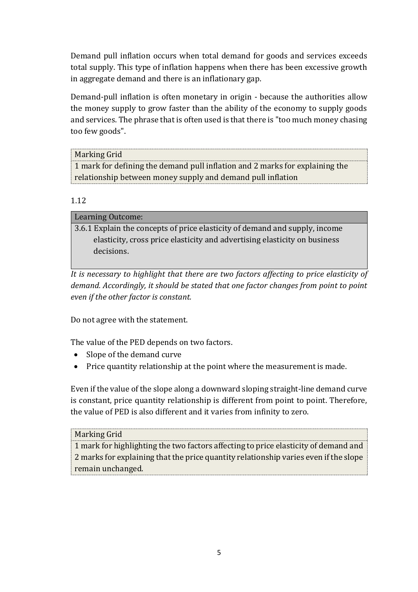Demand pull inflation occurs when total demand for goods and services exceeds total supply. This type of inflation happens when there has been excessive growth in aggregate demand and there is an inflationary gap.

Demand-pull inflation is often monetary in origin - because the authorities allow the money supply to grow faster than the ability of the economy to supply goods and services. The phrase that is often used is that there is "too much money chasing too few goods".

| Marking Grid                                                                 |
|------------------------------------------------------------------------------|
| 1 mark for defining the demand pull inflation and 2 marks for explaining the |
| relationship between money supply and demand pull inflation                  |

## 1.12

3.6.1 Explain the concepts of price elasticity of demand and supply, income elasticity, cross price elasticity and advertising elasticity on business decisions.

*It is necessary to highlight that there are two factors affecting to price elasticity of demand. Accordingly, it should be stated that one factor changes from point to point even if the other factor is constant.* 

Do not agree with the statement.

The value of the PED depends on two factors.

- Slope of the demand curve
- Price quantity relationship at the point where the measurement is made.

Even if the value of the slope along a downward sloping straight-line demand curve is constant, price quantity relationship is different from point to point. Therefore, the value of PED is also different and it varies from infinity to zero.

#### Marking Grid

1 mark for highlighting the two factors affecting to price elasticity of demand and 2 marks for explaining that the price quantity relationship varies even if the slope remain unchanged.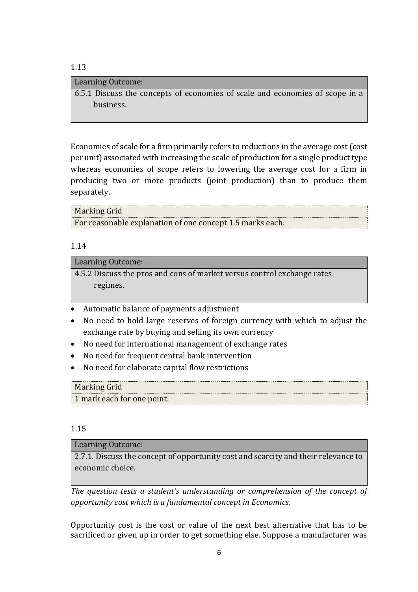#### 1.13

#### Learning Outcome:

6.5.1 Discuss the concepts of economies of scale and economies of scope in a business.

Economies of scale for a firm primarily refers to reductions in the average cost (cost per unit) associated with increasing the scale of production for a single product type whereas economies of scope refers to lowering the average cost for a firm in producing two or more products (joint production) than to produce them separately.

#### Marking Grid

For reasonable explanation of one concept 1.5 marks each.

#### 1.14

#### Learning Outcome:

4.5.2 Discuss the pros and cons of market versus control exchange rates regimes.

- Automatic balance of payments adjustment
- No need to hold large reserves of foreign currency with which to adjust the exchange rate by buying and selling its own currency
- No need for international management of exchange rates
- No need for frequent central bank intervention
- No need for elaborate capital flow restrictions

## Marking Grid 1 mark each for one point.

#### 1.15

#### Learning Outcome:

2.7.1. Discuss the concept of opportunity cost and scarcity and their relevance to economic choice.

*The question tests a student's understanding or comprehension of the concept of opportunity cost which is a fundamental concept in Economics.*

Opportunity cost is the cost or value of the next best alternative that has to be sacrificed or given up in order to get something else. Suppose a manufacturer was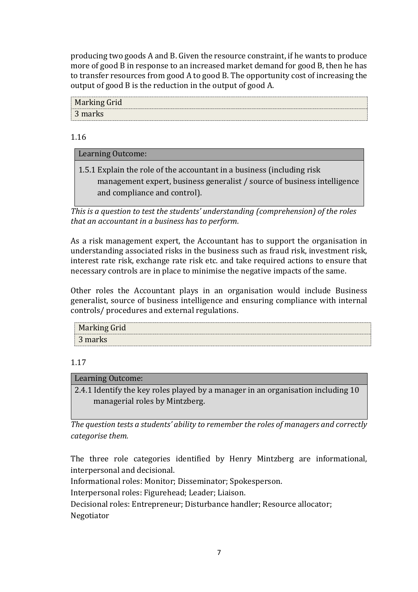producing two goods A and B. Given the resource constraint, if he wants to produce more of good B in response to an increased market demand for good B, then he has to transfer resources from good A to good B. The opportunity cost of increasing the output of good B is the reduction in the output of good A.

| Marking Grid |  |
|--------------|--|
| 3 marks      |  |

1.16

## Learning Outcome:

1.5.1 Explain the role of the accountant in a business (including risk management expert, business generalist / source of business intelligence

and compliance and control).

*This is a question to test the students' understanding (comprehension) of the roles that an accountant in a business has to perform.*

As a risk management expert, the Accountant has to support the organisation in understanding associated risks in the business such as fraud risk, investment risk, interest rate risk, exchange rate risk etc. and take required actions to ensure that necessary controls are in place to minimise the negative impacts of the same.

Other roles the Accountant plays in an organisation would include Business generalist, source of business intelligence and ensuring compliance with internal controls/ procedures and external regulations.

| <b>Marking Grid</b> |  |
|---------------------|--|
| 3 marks             |  |

## 1.17

Learning Outcome:

2.4.1 Identify the key roles played by a manager in an organisation including 10 managerial roles by Mintzberg.

*The question tests a students' ability to remember the roles of managers and correctly categorise them.*

The three role categories identified by Henry Mintzberg are informational, interpersonal and decisional.

Informational roles: Monitor; Disseminator; Spokesperson.

Interpersonal roles: Figurehead; Leader; Liaison.

Decisional roles: Entrepreneur; Disturbance handler; Resource allocator; Negotiator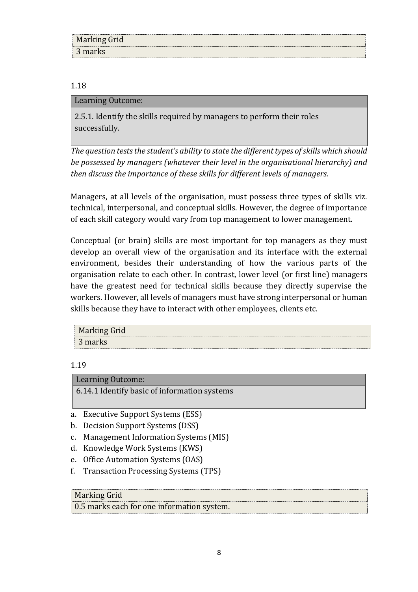| <b>Marking Grid</b> |  |
|---------------------|--|
| 3 marks             |  |

#### 1.18

#### Learning Outcome:

2.5.1. Identify the skills required by managers to perform their roles successfully.

*The question tests the student's ability to state the different types of skills which should be possessed by managers (whatever their level in the organisational hierarchy) and then discuss the importance of these skills for different levels of managers.*

Managers, at all levels of the organisation, must possess three types of skills viz. technical, interpersonal, and conceptual skills. However, the degree of importance of each skill category would vary from top management to lower management.

Conceptual (or brain) skills are most important for top managers as they must develop an overall view of the organisation and its interface with the external environment, besides their understanding of how the various parts of the organisation relate to each other. In contrast, lower level (or first line) managers have the greatest need for technical skills because they directly supervise the workers. However, all levels of managers must have strong interpersonal or human skills because they have to interact with other employees, clients etc.

| <b>Marking Grid</b> |
|---------------------|
| 3 marks             |

#### 1.19

Learning Outcome: 6.14.1 Identify basic of information systems

- a. Executive Support Systems (ESS)
- b. Decision Support Systems (DSS)
- c. Management Information Systems (MIS)
- d. Knowledge Work Systems (KWS)
- e. Office Automation Systems (OAS)
- f. Transaction Processing Systems (TPS)

#### Marking Grid

0.5 marks each for one information system.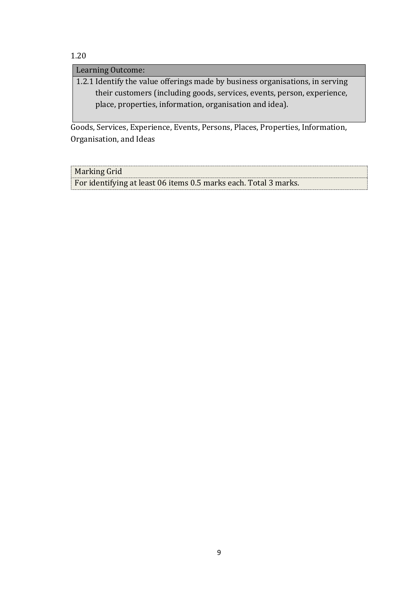## 1.20

Learning Outcome:

1.2.1 Identify the value offerings made by business organisations, in serving their customers (including goods, services, events, person, experience, place, properties, information, organisation and idea).

Goods, Services, Experience, Events, Persons, Places, Properties, Information, Organisation, and Ideas

Marking Grid

For identifying at least 06 items 0.5 marks each. Total 3 marks.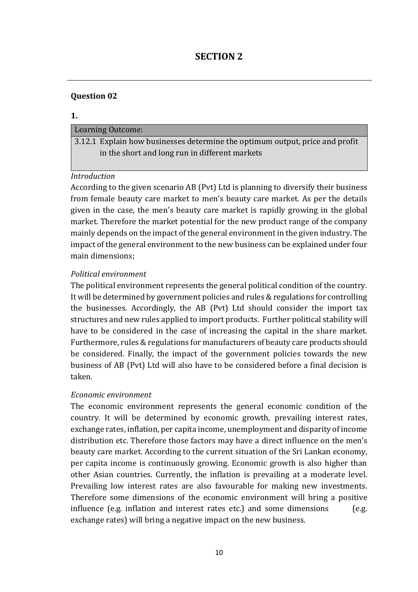## **SECTION 2**

## **Question 02**

#### **1.**

#### Learning Outcome:

3.12.1 Explain how businesses determine the optimum output, price and profit in the short and long run in different markets

#### *Introduction*

According to the given scenario AB (Pvt) Ltd is planning to diversify their business from female beauty care market to men's beauty care market. As per the details given in the case, the men's beauty care market is rapidly growing in the global market. Therefore the market potential for the new product range of the company mainly depends on the impact of the general environment in the given industry. The impact of the general environment to the new business can be explained under four main dimensions;

#### *Political environment*

The political environment represents the general political condition of the country. It will be determined by government policies and rules & regulations for controlling the businesses. Accordingly, the AB (Pvt) Ltd should consider the import tax structures and new rules applied to import products. Further political stability will have to be considered in the case of increasing the capital in the share market. Furthermore, rules & regulations for manufacturers of beauty care products should be considered. Finally, the impact of the government policies towards the new business of AB (Pvt) Ltd will also have to be considered before a final decision is taken.

#### *Economic environment*

The economic environment represents the general economic condition of the country. It will be determined by economic growth, prevailing interest rates, exchange rates, inflation, per capita income, unemployment and disparity of income distribution etc. Therefore those factors may have a direct influence on the men's beauty care market. According to the current situation of the Sri Lankan economy, per capita income is continuously growing. Economic growth is also higher than other Asian countries. Currently, the inflation is prevailing at a moderate level. Prevailing low interest rates are also favourable for making new investments. Therefore some dimensions of the economic environment will bring a positive influence (e.g. inflation and interest rates etc.) and some dimensions (e.g. exchange rates) will bring a negative impact on the new business.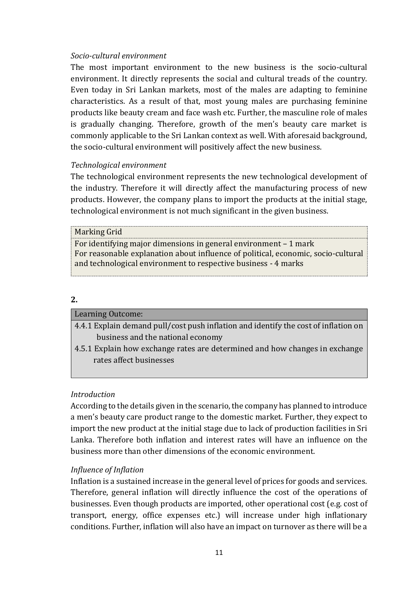#### *Socio-cultural environment*

The most important environment to the new business is the socio-cultural environment. It directly represents the social and cultural treads of the country. Even today in Sri Lankan markets, most of the males are adapting to feminine characteristics. As a result of that, most young males are purchasing feminine products like beauty cream and face wash etc. Further, the masculine role of males is gradually changing. Therefore, growth of the men's beauty care market is commonly applicable to the Sri Lankan context as well. With aforesaid background, the socio-cultural environment will positively affect the new business.

#### *Technological environment*

The technological environment represents the new technological development of the industry. Therefore it will directly affect the manufacturing process of new products. However, the company plans to import the products at the initial stage, technological environment is not much significant in the given business.

#### Marking Grid

For identifying major dimensions in general environment – 1 mark For reasonable explanation about influence of political, economic, socio-cultural and technological environment to respective business - 4 marks

#### **2.**

| <b>Learning Outcome:</b>                                                            |
|-------------------------------------------------------------------------------------|
| 4.4.1 Explain demand pull/cost push inflation and identify the cost of inflation on |
| business and the national economy                                                   |
| 4.5.1 Explain how exchange rates are determined and how changes in exchange         |
| rates affect businesses                                                             |

#### *Introduction*

According to the details given in the scenario, the company has planned to introduce a men's beauty care product range to the domestic market. Further, they expect to import the new product at the initial stage due to lack of production facilities in Sri Lanka. Therefore both inflation and interest rates will have an influence on the business more than other dimensions of the economic environment.

#### *Influence of Inflation*

Inflation is a sustained increase in the general level of prices for goods and services. Therefore, general inflation will directly influence the cost of the operations of businesses. Even though products are imported, other operational cost (e.g. cost of transport, energy, office expenses etc.) will increase under high inflationary conditions. Further, inflation will also have an impact on turnover as there will be a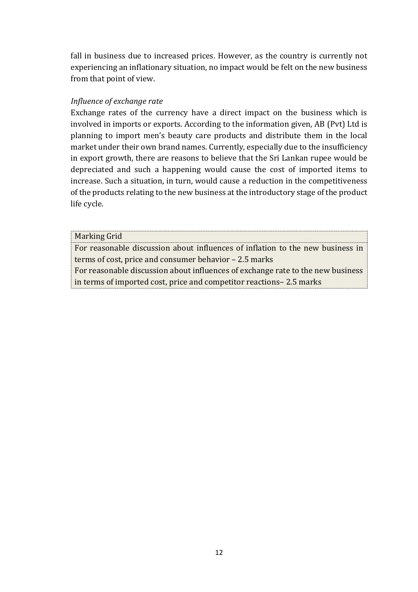fall in business due to increased prices. However, as the country is currently not experiencing an inflationary situation, no impact would be felt on the new business from that point of view.

#### *Influence of exchange rate*

Exchange rates of the currency have a direct impact on the business which is involved in imports or exports. According to the information given, AB (Pvt) Ltd is planning to import men's beauty care products and distribute them in the local market under their own brand names. Currently, especially due to the insufficiency in export growth, there are reasons to believe that the Sri Lankan rupee would be depreciated and such a happening would cause the cost of imported items to increase. Such a situation, in turn, would cause a reduction in the competitiveness of the products relating to the new business at the introductory stage of the product life cycle.

#### Marking Grid

For reasonable discussion about influences of inflation to the new business in terms of cost, price and consumer behavior – 2.5 marks

For reasonable discussion about influences of exchange rate to the new business in terms of imported cost, price and competitor reactions– 2.5 marks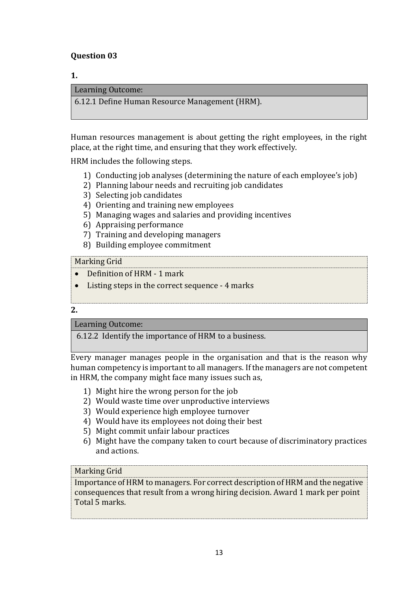## **Question 03**

#### **1.**

#### Learning Outcome:

6.12.1 Define Human Resource Management (HRM).

Human resources management is about getting the right employees, in the right place, at the right time, and ensuring that they work effectively.

HRM includes the following steps.

- 1) Conducting job analyses (determining the nature of each employee's job)
- 2) Planning labour needs and recruiting job candidates
- 3) Selecting job candidates
- 4) Orienting and training new employees
- 5) Managing wages and salaries and providing incentives
- 6) Appraising performance
- 7) Training and developing managers
- 8) Building employee commitment

## Marking Grid

- Definition of HRM 1 mark
- Listing steps in the correct sequence 4 marks

**2.**

#### Learning Outcome:

6.12.2 Identify the importance of HRM to a business.

Every manager manages people in the organisation and that is the reason why human competency is important to all managers. If the managers are not competent in HRM, the company might face many issues such as,

- 1) Might hire the wrong person for the job
- 2) Would waste time over unproductive interviews
- 3) Would experience high employee turnover
- 4) Would have its employees not doing their best
- 5) Might commit unfair labour practices
- 6) Might have the company taken to court because of discriminatory practices and actions.

#### Marking Grid

Importance of HRM to managers. For correct description of HRM and the negative consequences that result from a wrong hiring decision. Award 1 mark per point Total 5 marks.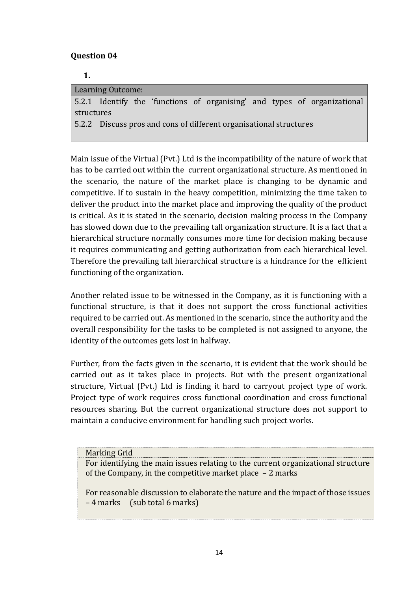## **Question 04**

**1.** 

|            | <b>Learning Outcome:</b> |  |                                                                    |  |                                                                          |
|------------|--------------------------|--|--------------------------------------------------------------------|--|--------------------------------------------------------------------------|
|            |                          |  |                                                                    |  | 5.2.1 Identify the 'functions of organising' and types of organizational |
| structures |                          |  |                                                                    |  |                                                                          |
|            |                          |  | 5.2.2 Discuss pros and cons of different organisational structures |  |                                                                          |
|            |                          |  |                                                                    |  |                                                                          |

Main issue of the Virtual (Pvt.) Ltd is the incompatibility of the nature of work that has to be carried out within the current organizational structure. As mentioned in the scenario, the nature of the market place is changing to be dynamic and competitive. If to sustain in the heavy competition, minimizing the time taken to deliver the product into the market place and improving the quality of the product is critical. As it is stated in the scenario, decision making process in the Company has slowed down due to the prevailing tall organization structure. It is a fact that a hierarchical structure normally consumes more time for decision making because it requires communicating and getting authorization from each hierarchical level. Therefore the prevailing tall hierarchical structure is a hindrance for the efficient functioning of the organization.

Another related issue to be witnessed in the Company, as it is functioning with a functional structure, is that it does not support the cross functional activities required to be carried out. As mentioned in the scenario, since the authority and the overall responsibility for the tasks to be completed is not assigned to anyone, the identity of the outcomes gets lost in halfway.

Further, from the facts given in the scenario, it is evident that the work should be carried out as it takes place in projects. But with the present organizational structure, Virtual (Pvt.) Ltd is finding it hard to carryout project type of work. Project type of work requires cross functional coordination and cross functional resources sharing. But the current organizational structure does not support to maintain a conducive environment for handling such project works.

Marking Grid

For identifying the main issues relating to the current organizational structure of the Company, in the competitive market place – 2 marks

For reasonable discussion to elaborate the nature and the impact of those issues – 4 marks (sub total 6 marks)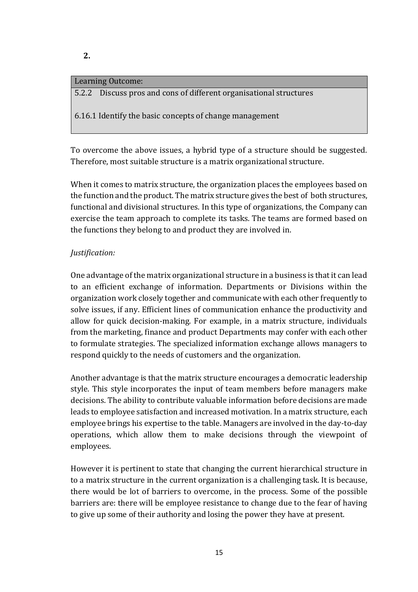#### Learning Outcome:

5.2.2 Discuss pros and cons of different organisational structures

6.16.1 Identify the basic concepts of change management

To overcome the above issues, a hybrid type of a structure should be suggested. Therefore, most suitable structure is a matrix organizational structure.

When it comes to matrix structure, the organization places the employees based on the function and the product. The matrix structure gives the best of both structures, functional and divisional structures. In this type of organizations, the Company can exercise the team approach to complete its tasks. The teams are formed based on the functions they belong to and product they are involved in.

## *Justification:*

One advantage of the matrix organizational structure in a business is that it can lead to an efficient exchange of information. Departments or Divisions within the organization work closely together and communicate with each other frequently to solve issues, if any. Efficient lines of communication enhance the productivity and allow for quick decision-making. For example, in a matrix structure, individuals from the marketing, finance and product Departments may confer with each other to formulate strategies. The specialized information exchange allows managers to respond quickly to the needs of customers and the organization.

Another advantage is that the matrix structure encourages a democratic leadership style. This style incorporates the input of team members before managers make decisions. The ability to contribute valuable information before decisions are made leads to employee satisfaction and increased motivation. In a matrix structure, each employee brings his expertise to the table. Managers are involved in the day-to-day operations, which allow them to make decisions through the viewpoint of employees.

However it is pertinent to state that changing the current hierarchical structure in to a matrix structure in the current organization is a challenging task. It is because, there would be lot of barriers to overcome, in the process. Some of the possible barriers are: there will be employee resistance to change due to the fear of having to give up some of their authority and losing the power they have at present.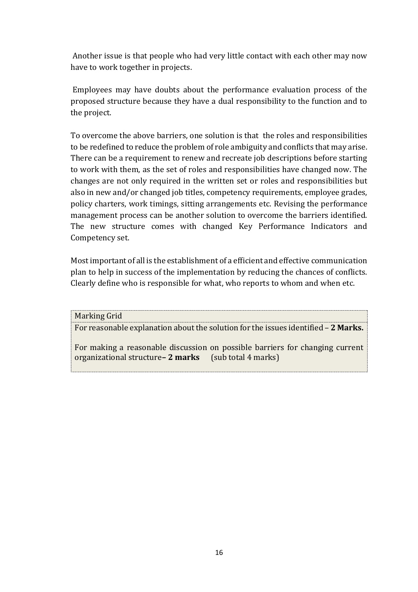Another issue is that people who had very little contact with each other may now have to work together in projects.

Employees may have doubts about the performance evaluation process of the proposed structure because they have a dual responsibility to the function and to the project.

To overcome the above barriers, one solution is that the roles and responsibilities to be redefined to reduce the problem of role ambiguity and conflicts that may arise. There can be a requirement to renew and recreate job descriptions before starting to work with them, as the set of roles and responsibilities have changed now. The changes are not only required in the written set or roles and responsibilities but also in new and/or changed job titles, competency requirements, employee grades, policy charters, work timings, sitting arrangements etc. Revising the performance management process can be another solution to overcome the barriers identified. The new structure comes with changed Key Performance Indicators and Competency set.

Most important of all is the establishment of a efficient and effective communication plan to help in success of the implementation by reducing the chances of conflicts. Clearly define who is responsible for what, who reports to whom and when etc.

Marking Grid

For reasonable explanation about the solution for the issues identified – **2 Marks.** 

For making a reasonable discussion on possible barriers for changing current organizational structure**– 2 marks** (sub total 4 marks)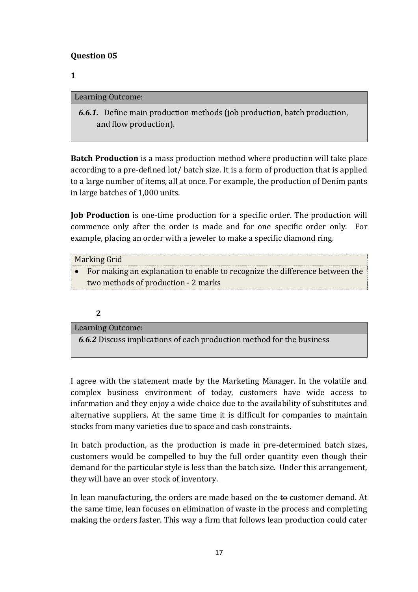## **Question 05**

## **1**

#### Learning Outcome:

 *6.6.1.* Define main production methods (job production, batch production, and flow production).

**Batch Production** is a mass production method where production will take place according to a pre-defined lot/ batch size. It is a form of production that is applied to a large number of items, all at once. For example, the production of Denim pants in large batches of 1,000 units.

**Job Production** is one-time production for a specific order. The production will commence only after the order is made and for one specific order only. For example, placing an order with a jeweler to make a specific diamond ring.

| Marking Grid                                                                  |
|-------------------------------------------------------------------------------|
| • For making an explanation to enable to recognize the difference between the |
| two methods of production - 2 marks                                           |

#### **2**

Learning Outcome: *6.6.2* Discuss implications of each production method for the business

I agree with the statement made by the Marketing Manager. In the volatile and complex business environment of today, customers have wide access to information and they enjoy a wide choice due to the availability of substitutes and alternative suppliers. At the same time it is difficult for companies to maintain stocks from many varieties due to space and cash constraints.

In batch production, as the production is made in pre-determined batch sizes, customers would be compelled to buy the full order quantity even though their demand for the particular style is less than the batch size. Under this arrangement, they will have an over stock of inventory.

In lean manufacturing, the orders are made based on the  $t\theta$  customer demand. At the same time, lean focuses on elimination of waste in the process and completing making the orders faster. This way a firm that follows lean production could cater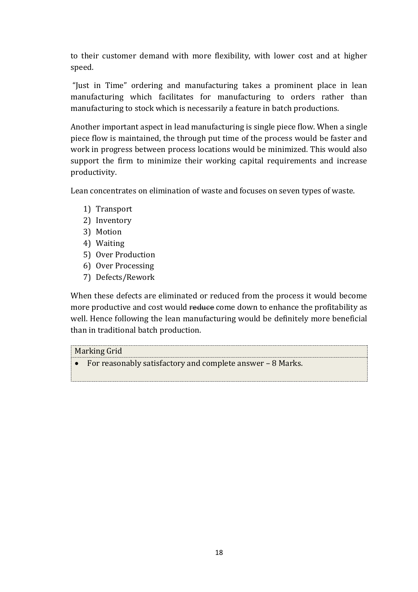to their customer demand with more flexibility, with lower cost and at higher speed.

"Just in Time" ordering and manufacturing takes a prominent place in lean manufacturing which facilitates for manufacturing to orders rather than manufacturing to stock which is necessarily a feature in batch productions.

Another important aspect in lead manufacturing is single piece flow. When a single piece flow is maintained, the through put time of the process would be faster and work in progress between process locations would be minimized. This would also support the firm to minimize their working capital requirements and increase productivity.

Lean concentrates on elimination of waste and focuses on seven types of waste.

- 1) Transport
- 2) Inventory
- 3) Motion
- 4) Waiting
- 5) Over Production
- 6) Over Processing
- 7) Defects/Rework

When these defects are eliminated or reduced from the process it would become more productive and cost would reduce come down to enhance the profitability as well. Hence following the lean manufacturing would be definitely more beneficial than in traditional batch production.

Marking Grid

For reasonably satisfactory and complete answer – 8 Marks.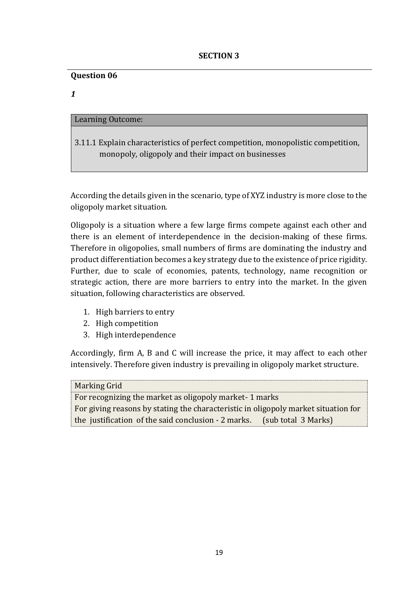#### **Question 06**

*1*

## Learning Outcome:

3.11.1 Explain characteristics of perfect competition, monopolistic competition, monopoly, oligopoly and their impact on businesses

According the details given in the scenario, type of XYZ industry is more close to the oligopoly market situation.

Oligopoly is a situation where a few large firms compete against each other and there is an element of interdependence in the decision-making of these firms. Therefore in oligopolies, small numbers of firms are dominating the industry and product differentiation becomes a key strategy due to the existence of price rigidity. Further, due to scale of economies, patents, technology, name recognition or strategic action, there are more barriers to entry into the market. In the given situation, following characteristics are observed.

- 1. High barriers to entry
- 2. High competition
- 3. High interdependence

Accordingly, firm A, B and C will increase the price, it may affect to each other intensively. Therefore given industry is prevailing in oligopoly market structure.

| <b>Marking Grid</b>                                                                |  |  |
|------------------------------------------------------------------------------------|--|--|
| For recognizing the market as oligopoly market-1 marks                             |  |  |
| For giving reasons by stating the characteristic in oligopoly market situation for |  |  |
| the justification of the said conclusion - 2 marks.<br>(sub total 3 Marks)         |  |  |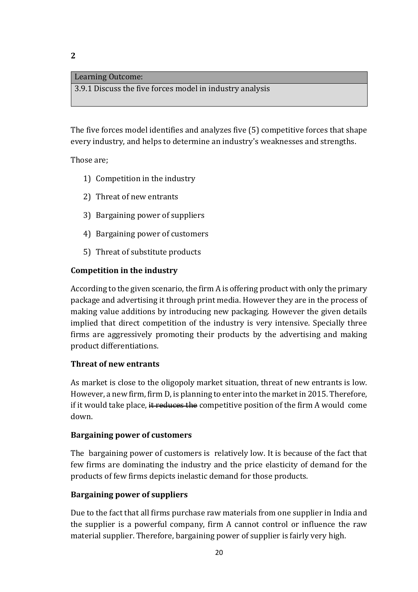#### Learning Outcome:

3.9.1 Discuss the five forces model in industry analysis

The five forces model identifies and analyzes five (5) competitive forces that shape every industry, and helps to determine an industry's weaknesses and strengths.

Those are;

- 1) Competition in the industry
- 2) Threat of new entrants
- 3) Bargaining power of suppliers
- 4) Bargaining power of customers
- 5) Threat of substitute products

#### **Competition in the industry**

According to the given scenario, the firm A is offering product with only the primary package and advertising it through print media. However they are in the process of making value additions by introducing new packaging. However the given details implied that direct competition of the industry is very intensive. Specially three firms are aggressively promoting their products by the advertising and making product differentiations.

#### **Threat of new entrants**

As market is close to the oligopoly market situation, threat of new entrants is low. However, a new firm, firm D, is planning to enter into the market in 2015. Therefore, if it would take place, it reduces the competitive position of the firm A would come down.

#### **Bargaining power of customers**

The bargaining power of customers is relatively low. It is because of the fact that few firms are dominating the industry and the price elasticity of demand for the products of few firms depicts inelastic demand for those products.

#### **Bargaining power of suppliers**

Due to the fact that all firms purchase raw materials from one supplier in India and the supplier is a powerful company, firm A cannot control or influence the raw material supplier. Therefore, bargaining power of supplier is fairly very high.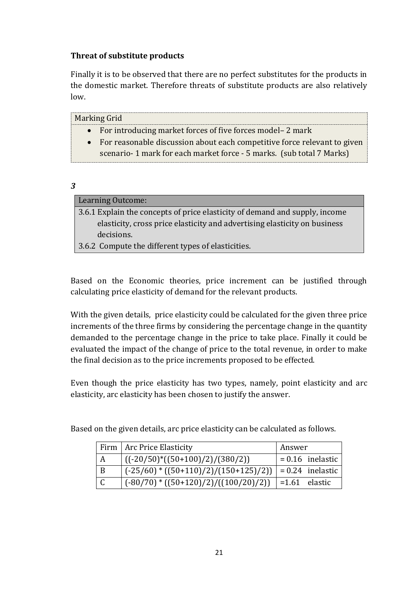## **Threat of substitute products**

Finally it is to be observed that there are no perfect substitutes for the products in the domestic market. Therefore threats of substitute products are also relatively low.

| Marking Grid                                                               |
|----------------------------------------------------------------------------|
| • For introducing market forces of five forces model – 2 mark              |
| • For reasonable discussion about each competitive force relevant to given |
| scenario-1 mark for each market force - 5 marks. (sub total 7 Marks)       |
|                                                                            |
|                                                                            |

| <b>Learning Outcome:</b>                                                    |
|-----------------------------------------------------------------------------|
| 3.6.1 Explain the concepts of price elasticity of demand and supply, income |
| elasticity, cross price elasticity and advertising elasticity on business   |
| decisions.                                                                  |
| 3.6.2 Compute the different types of elasticities.                          |

Based on the Economic theories, price increment can be justified through calculating price elasticity of demand for the relevant products.

With the given details, price elasticity could be calculated for the given three price increments of the three firms by considering the percentage change in the quantity demanded to the percentage change in the price to take place. Finally it could be evaluated the impact of the change of price to the total revenue, in order to make the final decision as to the price increments proposed to be effected.

Even though the price elasticity has two types, namely, point elasticity and arc elasticity, arc elasticity has been chosen to justify the answer.

Based on the given details, arc price elasticity can be calculated as follows.

|              | Firm   Arc Price Elasticity                             | Answer                   |
|--------------|---------------------------------------------------------|--------------------------|
|              | $((-20/50)*(50+100)/2)/(380/2))$                        | $= 0.16$ inelastic       |
| $\mathsf{B}$ | $(-25/60) * ((50+110)/2)/(150+125)/2))$                 | $\vert$ = 0.24 inelastic |
|              | $(-80/70) * ((50+120)/2)/((100/20)/2))$   =1.61 elastic |                          |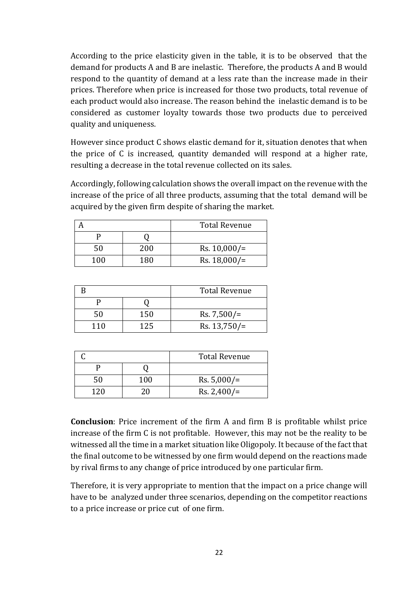According to the price elasticity given in the table, it is to be observed that the demand for products A and B are inelastic. Therefore, the products A and B would respond to the quantity of demand at a less rate than the increase made in their prices. Therefore when price is increased for those two products, total revenue of each product would also increase. The reason behind the inelastic demand is to be considered as customer loyalty towards those two products due to perceived quality and uniqueness.

However since product C shows elastic demand for it, situation denotes that when the price of C is increased, quantity demanded will respond at a higher rate, resulting a decrease in the total revenue collected on its sales.

Accordingly, following calculation shows the overall impact on the revenue with the increase of the price of all three products, assuming that the total demand will be acquired by the given firm despite of sharing the market.

|     |     | <b>Total Revenue</b> |
|-----|-----|----------------------|
|     |     |                      |
| 50  | 200 | $Rs. 10,000/=$       |
| 100 | 180 | $Rs. 18,000/=$       |

|     |     | <b>Total Revenue</b> |
|-----|-----|----------------------|
|     |     |                      |
| 50  | 150 | $Rs. 7,500/=$        |
| 110 | 125 | $Rs. 13,750/=$       |

|     |     | <b>Total Revenue</b> |
|-----|-----|----------------------|
|     |     |                      |
| 50  | 100 | $Rs. 5,000/=$        |
| 120 | 20  | Rs. $2,400/$ =       |

**Conclusion**: Price increment of the firm A and firm B is profitable whilst price increase of the firm C is not profitable. However, this may not be the reality to be witnessed all the time in a market situation like Oligopoly. It because of the fact that the final outcome to be witnessed by one firm would depend on the reactions made by rival firms to any change of price introduced by one particular firm.

Therefore, it is very appropriate to mention that the impact on a price change will have to be analyzed under three scenarios, depending on the competitor reactions to a price increase or price cut of one firm.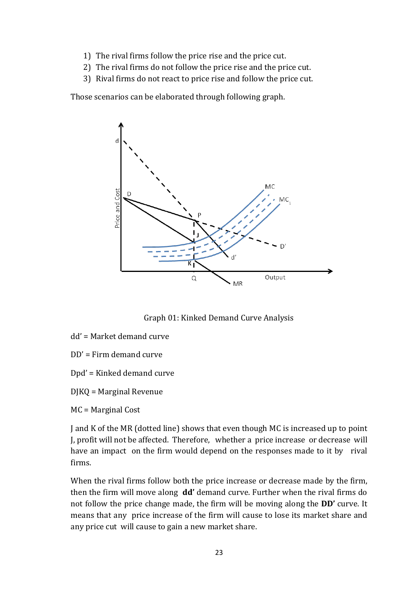- 1) The rival firms follow the price rise and the price cut.
- 2) The rival firms do not follow the price rise and the price cut.
- 3) Rival firms do not react to price rise and follow the price cut.

Those scenarios can be elaborated through following graph.



Graph 01: Kinked Demand Curve Analysis

- dd' = Market demand curve
- DD' = Firm demand curve
- Dpd' = Kinked demand curve
- DJKQ = Marginal Revenue
- MC = Marginal Cost

J and K of the MR (dotted line) shows that even though MC is increased up to point J, profit will not be affected. Therefore, whether a price increase or decrease will have an impact on the firm would depend on the responses made to it by rival firms.

When the rival firms follow both the price increase or decrease made by the firm, then the firm will move along **dd'** demand curve. Further when the rival firms do not follow the price change made, the firm will be moving along the **DD'** curve. It means that any price increase of the firm will cause to lose its market share and any price cut will cause to gain a new market share.